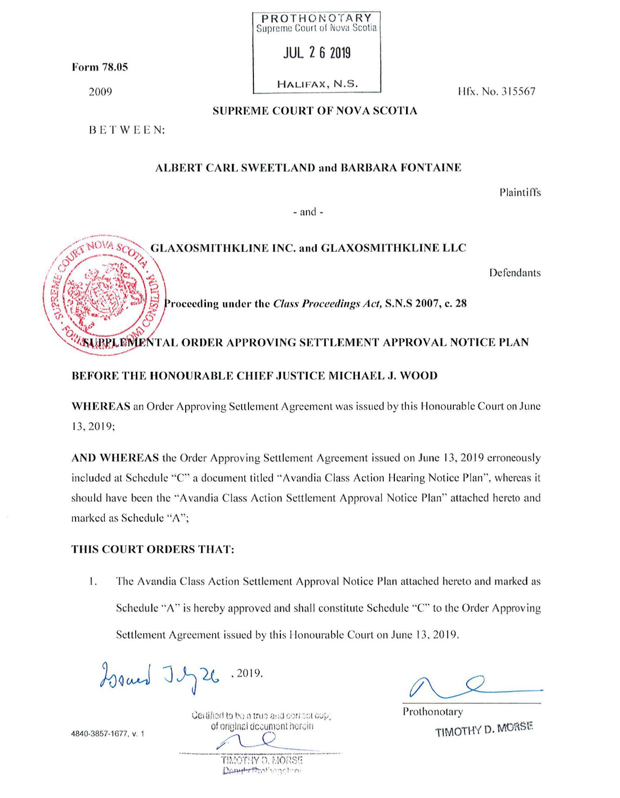Form 78.05

2009

HALIFAX, N.S.

PROTHONOTARY Supreme Court of Nova Scotia

**JUL 26 2019** 

Hfx. No. 315567

### **SUPREME COURT OF NOVA SCOTIA**

BETWEEN:

## **ALBERT CARL SWEETLAND and BARBARA FONTAINE**

Plaintiffs

 $-$  and  $-$ 



### **BEFORE THE HONOURABLE CHIEF JUSTICE MICHAEL J. WOOD**

**WHEREAS** an Order Approving Settlement Agreement was issued by this Honourable Court on June 13, 2019;

AND WHEREAS the Order Approving Settlement Agreement issued on June 13, 2019 erroneously included at Schedule "C" a document titled "Avandia Class Action Hearing Notice Plan", whereas it should have been the "Avandia Class Action Settlement Approval Notice Plan" attached hereto and marked as Schedule "A";

## THIS COURT ORDERS THAT:

1. The Avandia Class Action Settlement Approval Notice Plan attached hereto and marked as Schedule "A" is hereby approved and shall constitute Schedule "C" to the Order Approving Settlement Agreement issued by this Honourable Court on June 13, 2019.

Issued J J 26.2019.

Certified to be a true and correct cop\_ of original document herein.

> TIMOTHY O. MORSE Denter Brothancher

Prothonotary TIMOTHY D. MORSE

4840-3857-1677, v. 1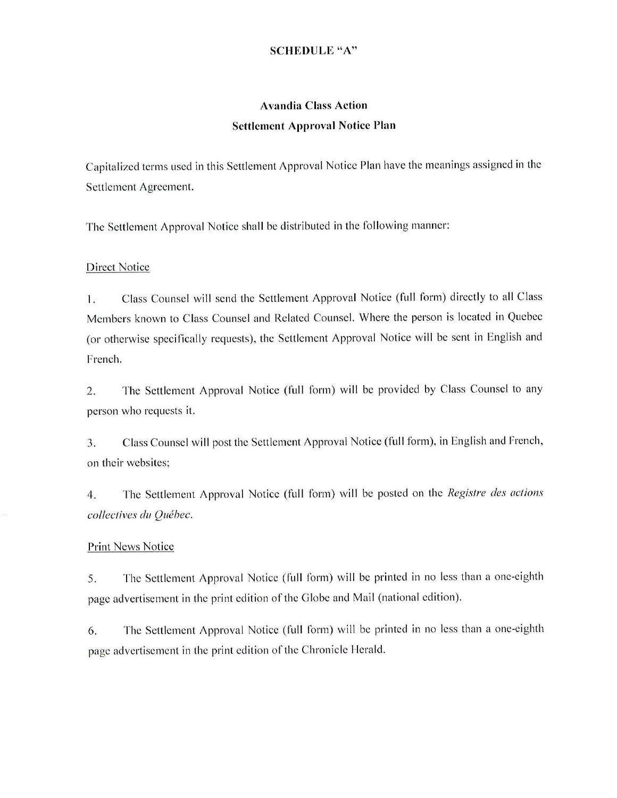### **SCHEDULE "A"**

# **Avandia Class Action Settlement Approval Notice Plan**

Capitalized terms used in this Settlement Approval Notice Plan have the meanings assigned in the Settlement Agreement.

The Settlement Approval Notice shall be distributed in the following manner:

### Direct Notice

I. Class Counsel will send the Settlement Approval Notice (full form) directly to all Class Members known to Class Counsel and Related Counsel. Where the person is located in Quebec (or otherwise specifically requests), the Settlement Approval Notice will be sent in English and French.

2. The Settlement Approval Notice (full form) will be provided by Class Counsel to any person who requests it.

3. Class Counsel will post the Settlement Approval Notice (full form), in English and French, on their websites;

4. The Settlement Approval Notice (full form) will be posted on the *Registre des actions collectives du Quebec.* 

### Print News Notice

5. The Settlement Approval Notice (full form) will be printed in no less than a one-eighth page advertisement in the print edition of the Globe and Mail (national edition).

6. The Settlement Approval Notice (full form) will be printed in no less than a one-eighth page advertisement in the print edition of the Chronicle Herald.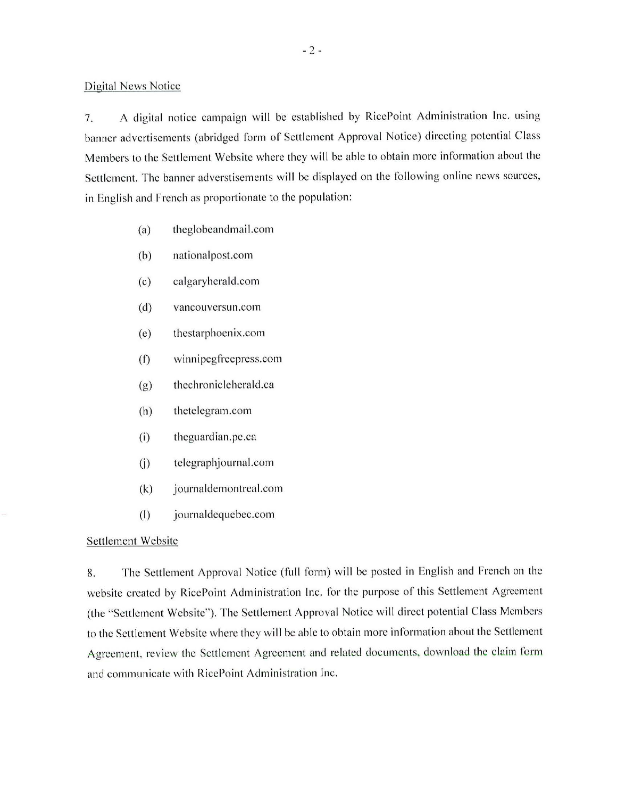Digital News Notice

7. A digital notice campaign will be established by RicePoint Administration Inc. using banner advertisements (abridged form of Settlement Approval Notice) directing potential Class Members to the Settlement Website where they will be able to obtain more information about the Settlement. The banner adverstisements will be displayed on the following online news sources, in English and Prench as proportionate to the population:

- $(a)$  theglobeandmail.com
- (b) national post.com
- (c) calgaryherald.com
- (d) vancouversun.com
- (e) thestarphoenix.com
- (f) winnipegfreeprcss.com
- (g) thechronicleherald.ca
- (h) thetclegram .com
- (i) thcguardian.pe.ca
- (j) telegraphjournal.com
- (k) journaldemontreal.com
- (I) journaldequebec.com

#### Settlement Website

8. The Settlement Approval Notice (full form) will be posted in English and French on the website created by RicePoint Administration Inc. for the purpose of this Settlement Agreement (the "Settlement Website"). The Settlement Approval Notice wi ll direct potential Class Members to the Settlement Website where they will be able to obtain more information about the Settlement Agreement. review the Settlement Agreement and related documents, download the claim form and communicate with RicePoint Administration Inc.